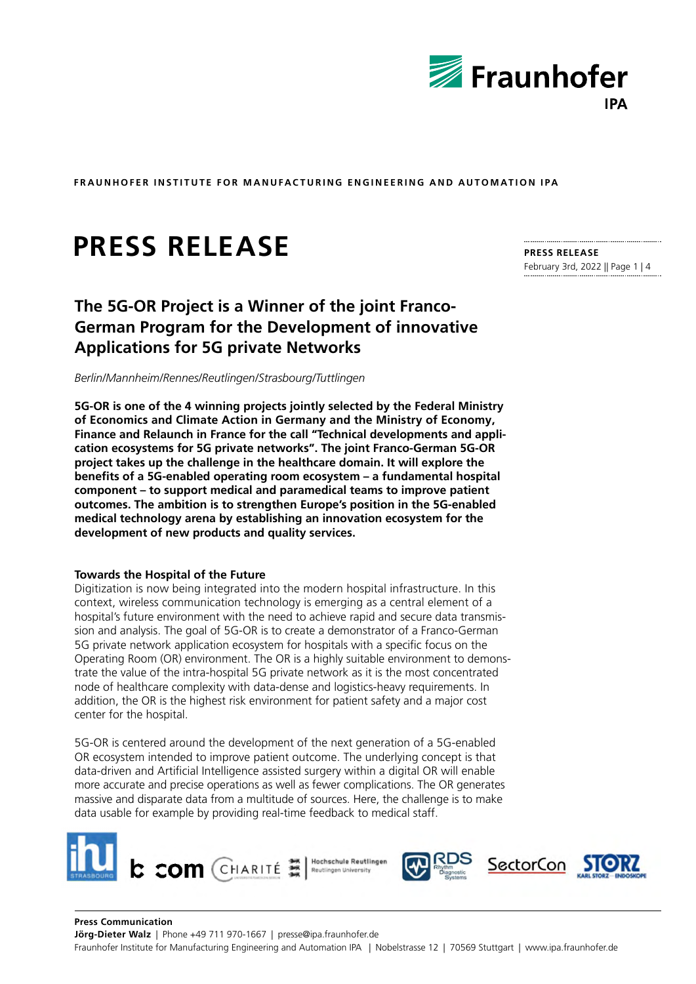

# **PRESS RELEASE**

## **The 5G-OR Project is a Winner of the joint Franco-German Program for the Development of innovative Applications for 5G private Networks**

*Berlin/Mannheim/Rennes/Reutlingen/Strasbourg/Tuttlingen*

**5G-OR is one of the 4 winning projects jointly selected by the Federal Ministry of Economics and Climate Action in Germany and the Ministry of Economy, Finance and Relaunch in France for the call "Technical developments and application ecosystems for 5G private networks". The joint Franco-German 5G-OR project takes up the challenge in the healthcare domain. It will explore the benefits of a 5G-enabled operating room ecosystem – a fundamental hospital component – to support medical and paramedical teams to improve patient outcomes. The ambition is to strengthen Europe's position in the 5G-enabled medical technology arena by establishing an innovation ecosystem for the development of new products and quality services.** 

#### **Towards the Hospital of the Future**

Digitization is now being integrated into the modern hospital infrastructure. In this context, wireless communication technology is emerging as a central element of a hospital's future environment with the need to achieve rapid and secure data transmission and analysis. The goal of 5G-OR is to create a demonstrator of a Franco-German 5G private network application ecosystem for hospitals with a specific focus on the Operating Room (OR) environment. The OR is a highly suitable environment to demonstrate the value of the intra-hospital 5G private network as it is the most concentrated node of healthcare complexity with data-dense and logistics-heavy requirements. In addition, the OR is the highest risk environment for patient safety and a major cost center for the hospital.

5G-OR is centered around the development of the next generation of a 5G-enabled OR ecosystem intended to improve patient outcome. The underlying concept is that data-driven and Artificial Intelligence assisted surgery within a digital OR will enable more accurate and precise operations as well as fewer complications. The OR generates massive and disparate data from a multitude of sources. Here, the challenge is to make data usable for example by providing real-time feedback to medical staff.



## **PRESS RELEASE**

February 3rd, 2022 || Page 1 | 4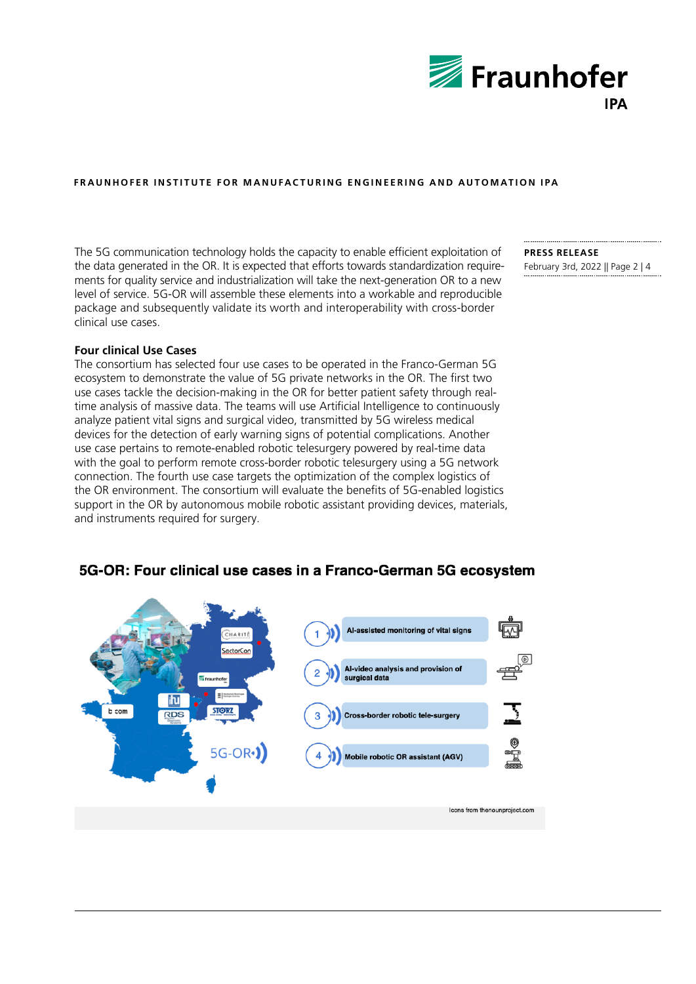

The 5G communication technology holds the capacity to enable efficient exploitation of the data generated in the OR. It is expected that efforts towards standardization requirements for quality service and industrialization will take the next-generation OR to a new level of service. 5G-OR will assemble these elements into a workable and reproducible package and subsequently validate its worth and interoperability with cross-border clinical use cases.

**Four clinical Use Cases**

The consortium has selected four use cases to be operated in the Franco-German 5G ecosystem to demonstrate the value of 5G private networks in the OR. The first two use cases tackle the decision-making in the OR for better patient safety through realtime analysis of massive data. The teams will use Artificial Intelligence to continuously analyze patient vital signs and surgical video, transmitted by 5G wireless medical devices for the detection of early warning signs of potential complications. Another use case pertains to remote-enabled robotic telesurgery powered by real-time data with the goal to perform remote cross-border robotic telesurgery using a 5G network connection. The fourth use case targets the optimization of the complex logistics of the OR environment. The consortium will evaluate the benefits of 5G-enabled logistics support in the OR by autonomous mobile robotic assistant providing devices, materials, and instruments required for surgery.

**PRESS RELEASE**  February 3rd, 2022 || Page 2 | 4

#### 5G-OR: Four clinical use cases in a Franco-German 5G ecosystem

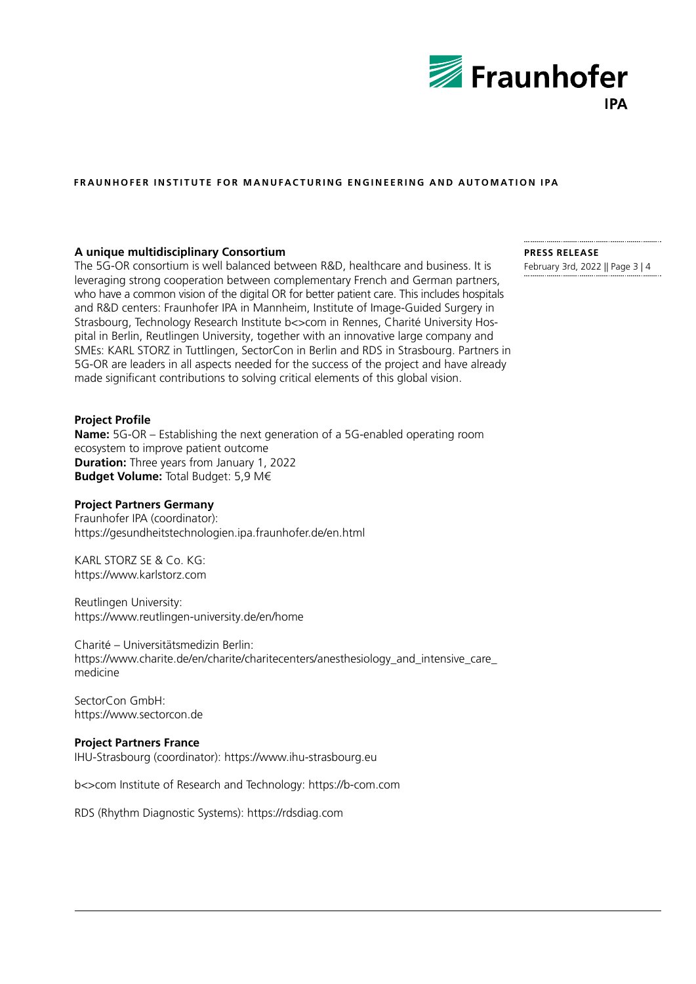

#### **A unique multidisciplinary Consortium**

The 5G-OR consortium is well balanced between R&D, healthcare and business. It is leveraging strong cooperation between complementary French and German partners, who have a common vision of the digital OR for better patient care. This includes hospitals and R&D centers: Fraunhofer IPA in Mannheim, Institute of Image-Guided Surgery in Strasbourg, Technology Research Institute b<>com in Rennes, Charité University Hospital in Berlin, Reutlingen University, together with an innovative large company and SMEs: KARL STORZ in Tuttlingen, SectorCon in Berlin and RDS in Strasbourg. Partners in 5G-OR are leaders in all aspects needed for the success of the project and have already made significant contributions to solving critical elements of this global vision.

#### **Project Profile**

**Name:** 5G-OR – Establishing the next generation of a 5G-enabled operating room ecosystem to improve patient outcome **Duration:** Three years from January 1, 2022 **Budget Volume:** Total Budget: 5,9 M€

#### **Project Partners Germany**

Fraunhofer IPA (coordinator): <https://gesundheitstechnologien.ipa.fraunhofer.de/en.html>

KARL STORZ SE & Co. KG: <https://www.karlstorz.com>

Reutlingen University: <https://www.reutlingen-university.de/en/home>

Charité – Universitätsmedizin Berlin: https://www.charite.de/en/charite/charitecenters/anesthesiology\_and\_intensive\_care medicine

SectorCon GmbH: https://www.sectorcon.de

#### **Project Partners France**

IHU-Strasbourg (coordinator):<https://www.ihu-strasbourg.eu>

b<>com Institute of Research and Technology:<https://b-com.com>

RDS (Rhythm Diagnostic Systems): https://rdsdiag.com

### **PRESS RELEASE**

February 3rd, 2022 || Page 3 | 4